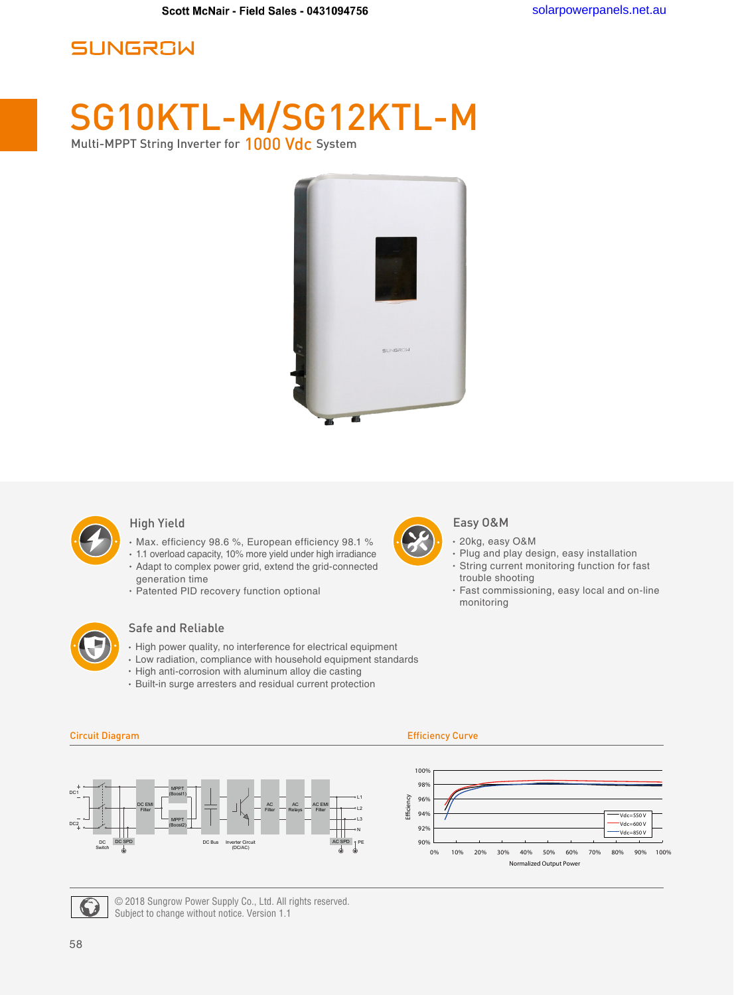## **SUNGROW**

# SG10KTL-M/SG12KTL-M

Multi-MPPT String Inverter for 1000 Vdc System





#### High Yield

- Max. efficiency 98.6 %, European efficiency 98.1 %
- 1.1 overload capacity, 10% more yield under high irradiance Adapt to complex power grid, extend the grid-connected generation time
- Patented PID recovery function optional



### Safe and Reliable

- $\cdot$  High power quality, no interference for electrical equipment
- Low radiation, compliance with household equipment standards
- High anti-corrosion with aluminum alloy die casting
- Built-in surge arresters and residual current protection



#### Easy O&M

- 20kg, easy O&M
- Plug and play design, easy installation
- String current monitoring function for fast trouble shooting
- Fast commissioning, easy local and on-line monitoring